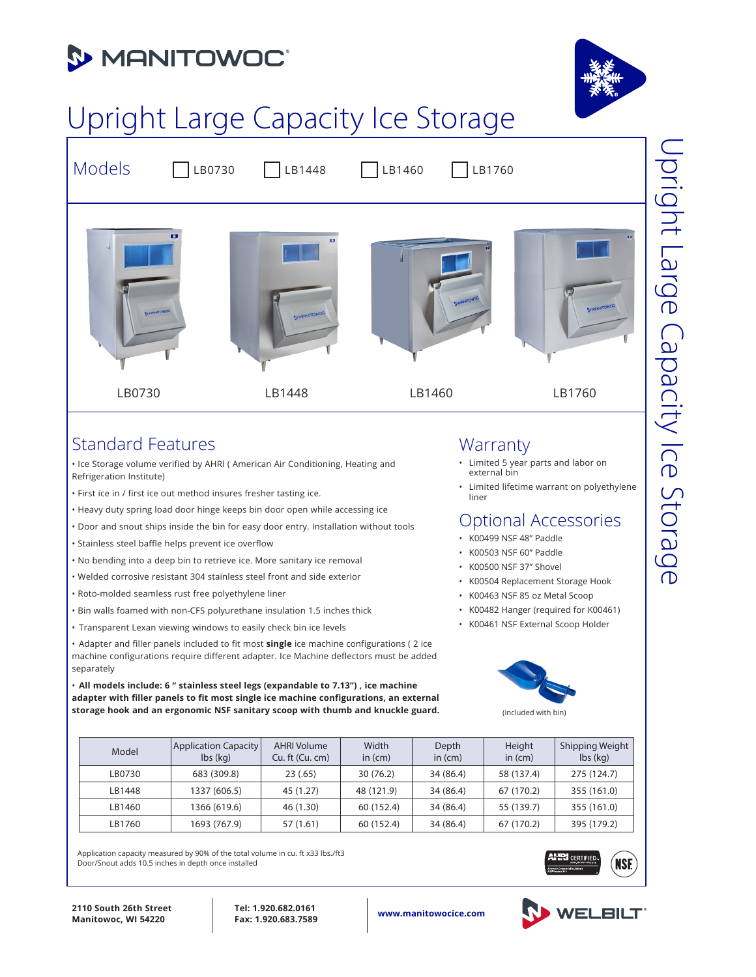



# Upright Large Capacity Ice Storage



### Standard Features

• Ice Storage volume verified by AHRI ( American Air Conditioning, Heating and Refrigeration Institute)

- First ice in / first ice out method insures fresher tasting ice.
- Heavy duty spring load door hinge keeps bin door open while accessing ice
- Door and snout ships inside the bin for easy door entry. Installation without tools
- Stainless steel baffle helps prevent ice overflow
- No bending into a deep bin to retrieve ice. More sanitary ice removal
- Welded corrosive resistant 304 stainless steel front and side exterior
- Roto-molded seamless rust free polyethylene liner
- Bin walls foamed with non-CFS polyurethane insulation 1.5 inches thick
- Transparent Lexan viewing windows to easily check bin ice levels

• Adapter and filler panels included to fit most **single** ice machine configurations ( 2 ice machine configurations require different adapter. Ice Machine deflectors must be added separately

• **All models include: 6 " stainless steel legs (expandable to 7.13") , ice machine adapter with filler panels to fit most single ice machine configurations, an external storage hook and an ergonomic NSF sanitary scoop with thumb and knuckle guard.**

| Model  | Application Capacity<br>$\mathsf{lbs}(\mathsf{kq})$ | <b>AHRI Volume</b><br>Cu. ft (Cu. cm) | Width<br>in $(cm)$ | Depth<br>in $(cm)$ | Height<br>in $(cm)$ | Shipping Weight<br>$\mathsf{lbs}(\mathsf{kg})$ |
|--------|-----------------------------------------------------|---------------------------------------|--------------------|--------------------|---------------------|------------------------------------------------|
| LB0730 | 683 (309.8)                                         | 23(.65)                               | 30(76.2)           | 34 (86.4)          | 58 (137.4)          | 275 (124.7)                                    |
| LB1448 | 1337 (606.5)                                        | 45 (1.27)                             | 48 (121.9)         | 34 (86.4)          | 67 (170.2)          | 355 (161.0)                                    |
| LB1460 | 1366 (619.6)                                        | 46 (1.30)                             | 60 (152.4)         | 34 (86.4)          | 55 (139.7)          | 355 (161.0)                                    |
| LB1760 | 1693 (767.9)                                        | 57 (1.61)                             | 60 (152.4)         | 34 (86.4)          | 67 (170.2)          | 395 (179.2)                                    |

Application capacity measured by 90% of the total volume in cu. ft x33 lbs./ft3 Door/Snout adds 10.5 inches in depth once installed

### **Warranty**

- Limited 5 year parts and labor on external bin
- Limited lifetime warrant on polyethylene liner

# Optional Accessories

- K00499 NSF 48" Paddle
- K00503 NSF 60" Paddle
- K00500 NSF 37" Shovel
- K00504 Replacement Storage Hook
- K00463 NSF 85 oz Metal Scoop
- K00482 Hanger (required for K00461)
- K00461 NSF External Scoop Holder



| <b>THAT CERTIFIED.</b><br>www.shridinectory.org |  |
|-------------------------------------------------|--|
| natic Commercial Ico-Maters<br>Standard 810     |  |



**www.manitowocice.com 2110 South 26th Street Manitowoc, WI 54220**

**Tel: 1.920.682.0161 Fax: 1.920.683.7589**